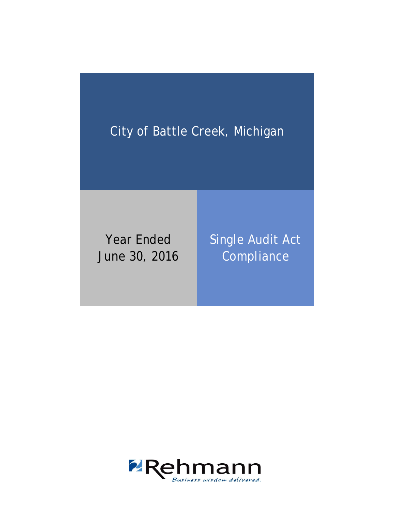## City of Battle Creek, Michigan

Year Ended June 30, 2016 Single Audit Act Compliance

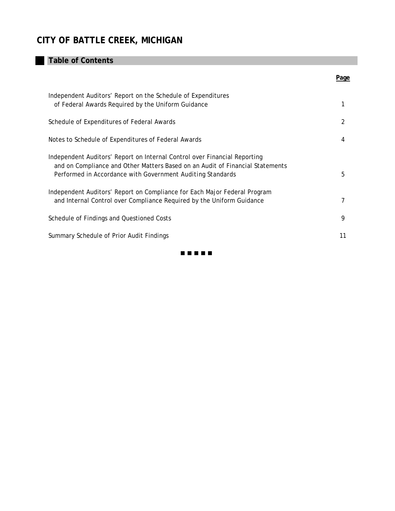### **Table of Contents**

|                                                                                                                                                                                                                          | Page |
|--------------------------------------------------------------------------------------------------------------------------------------------------------------------------------------------------------------------------|------|
| Independent Auditors' Report on the Schedule of Expenditures<br>of Federal Awards Required by the Uniform Guidance                                                                                                       | 1    |
| Schedule of Expenditures of Federal Awards                                                                                                                                                                               | 2    |
| Notes to Schedule of Expenditures of Federal Awards                                                                                                                                                                      | 4    |
| Independent Auditors' Report on Internal Control over Financial Reporting<br>and on Compliance and Other Matters Based on an Audit of Financial Statements<br>Performed in Accordance with Government Auditing Standards | 5    |
| Independent Auditors' Report on Compliance for Each Major Federal Program<br>and Internal Control over Compliance Required by the Uniform Guidance                                                                       |      |
| Schedule of Findings and Questioned Costs                                                                                                                                                                                | 9    |
| Summary Schedule of Prior Audit Findings                                                                                                                                                                                 | 11   |

.....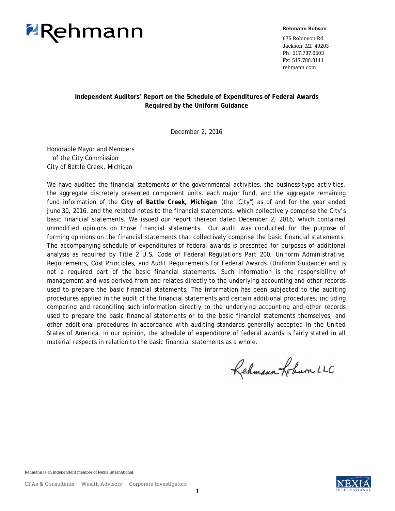# **PRehmann**

**Rehmann Robson**

675 Robinson Rd. Jackson, MI 49203 Ph: 517.787.6503 Fx: 517.788.8111 rehmann.com

#### **Independent Auditors' Report on the Schedule of Expenditures of Federal Awards Required by the Uniform Guidance**

December 2, 2016

 Honorable Mayor and Members of the City Commission City of Battle Creek, Michigan

We have audited the financial statements of the governmental activities, the business-type activities, the aggregate discretely presented component units, each major fund, and the aggregate remaining fund information of the *City of Battle Creek, Michigan* (the "City") as of and for the year ended June 30, 2016, and the related notes to the financial statements, which collectively comprise the City's basic financial statements. We issued our report thereon dated December 2, 2016, which contained unmodified opinions on those financial statements. Our audit was conducted for the purpose of forming opinions on the financial statements that collectively comprise the basic financial statements. The accompanying schedule of expenditures of federal awards is presented for purposes of additional analysis as required by Title 2 U.S. Code of Federal Regulations Part 200, *Uniform Administrative Requirements, Cost Principles, and Audit Requirements for Federal Awards* (Uniform Guidance) and is not a required part of the basic financial statements. Such information is the responsibility of management and was derived from and relates directly to the underlying accounting and other records used to prepare the basic financial statements. The information has been subjected to the auditing procedures applied in the audit of the financial statements and certain additional procedures, including comparing and reconciling such information directly to the underlying accounting and other records used to prepare the basic financial statements or to the basic financial statements themselves, and other additional procedures in accordance with auditing standards generally accepted in the United States of America. In our opinion, the schedule of expenditure of federal awards is fairly stated in all material respects in relation to the basic financial statements as a whole.

Rehmann Lobson LLC

Rehmann is an independent member of Nexia International.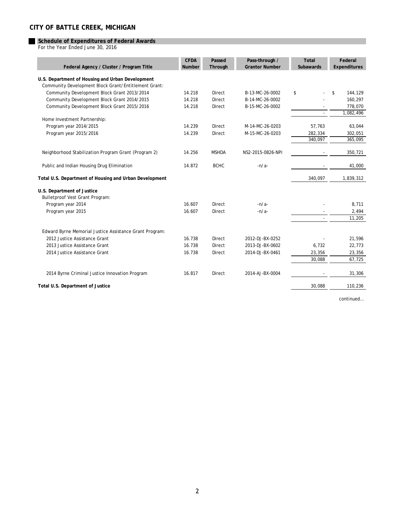#### **Schedule of Expenditures of Federal Awards**

For the Year Ended June 30, 2016

 $\overline{\phantom{a}}$ 

| Federal Agency / Cluster / Program Title                                                 | <b>CFDA</b><br><b>Number</b> | Passed<br>Through | Pass-through /<br><b>Grantor Number</b> | <b>Total</b><br><b>Subawards</b> | Federal<br><b>Expenditures</b> |
|------------------------------------------------------------------------------------------|------------------------------|-------------------|-----------------------------------------|----------------------------------|--------------------------------|
| U.S. Department of Housing and Urban Development                                         |                              |                   |                                         |                                  |                                |
| Community Development Block Grant/Entitlement Grant:                                     |                              |                   |                                         |                                  |                                |
| Community Development Block Grant 2013/2014                                              | 14.218                       | Direct            | B-13-MC-26-0002                         | \$                               | \$<br>144,129                  |
| Community Development Block Grant 2014/2015                                              | 14.218                       | <b>Direct</b>     | B-14-MC-26-0002                         |                                  | 160,297                        |
| Community Development Block Grant 2015/2016                                              | 14.218                       | <b>Direct</b>     | B-15-MC-26-0002                         |                                  | 778,070                        |
|                                                                                          |                              |                   |                                         |                                  | 1,082,496                      |
| Home Investment Partnership:                                                             |                              |                   |                                         |                                  |                                |
| Program year 2014/2015                                                                   | 14.239                       | <b>Direct</b>     | M-14-MC-26-0203                         | 57,763                           | 63,044                         |
| Program year 2015/2016                                                                   | 14.239                       | Direct            | M-15-MC-26-0203                         | 282,334                          | 302,051                        |
|                                                                                          |                              |                   |                                         | 340,097                          | 365,095                        |
| Neighborhood Stabilization Program Grant (Program 2)                                     | 14.256                       | <b>MSHDA</b>      | NS2-2015-0826-NPI                       |                                  | 350,721                        |
|                                                                                          |                              |                   |                                         |                                  |                                |
| Public and Indian Housing Drug Elimination                                               | 14.872                       | <b>BCHC</b>       | $-n/a-$                                 |                                  | 41,000                         |
| Total U.S. Department of Housing and Urban Development                                   |                              |                   |                                         | 340,097                          | 1,839,312                      |
| U.S. Department of Justice                                                               |                              |                   |                                         |                                  |                                |
| Bulletproof Vest Grant Program:                                                          |                              |                   |                                         |                                  |                                |
| Program year 2014                                                                        | 16.607                       | Direct            | $-n/a-$                                 |                                  | 8,711                          |
| Program year 2015                                                                        | 16.607                       | Direct            | $-n/a-$                                 |                                  | 2,494                          |
|                                                                                          |                              |                   |                                         |                                  | 11,205                         |
|                                                                                          |                              |                   |                                         |                                  |                                |
| Edward Byrne Memorial Justice Assistance Grant Program:<br>2012 Justice Assistance Grant | 16.738                       | Direct            | 2012-DJ-BX-0252                         |                                  |                                |
|                                                                                          |                              |                   |                                         |                                  | 21,596                         |
| 2013 Justice Assistance Grant                                                            | 16.738                       | Direct            | 2013-DJ-BX-0602                         | 6,732                            | 22,773                         |
| 2014 Justice Assistance Grant                                                            | 16.738                       | Direct            | 2014-DJ-BX-0461                         | 23,356                           | 23,356                         |
|                                                                                          |                              |                   |                                         | 30.088                           | 67,725                         |
| 2014 Byrne Criminal Justice Innovation Program                                           | 16.817                       | Direct            | 2014-AJ-BX-0004                         |                                  | 31,306                         |
| Total U.S. Department of Justice                                                         |                              |                   |                                         | 30,088                           | 110,236                        |
|                                                                                          |                              |                   |                                         |                                  |                                |

continued…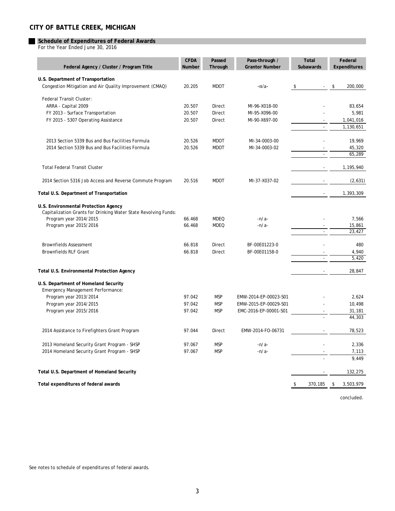#### **Schedule of Expenditures of Federal Awards**

For the Year Ended June 30, 2016

| Federal Agency / Cluster / Program Title                                                  | <b>CFDA</b><br><b>Number</b> | Passed<br>Through | Pass-through /<br><b>Grantor Number</b> | <b>Total</b><br><b>Subawards</b> | Federal<br><b>Expenditures</b> |
|-------------------------------------------------------------------------------------------|------------------------------|-------------------|-----------------------------------------|----------------------------------|--------------------------------|
| U.S. Department of Transportation                                                         |                              |                   |                                         |                                  |                                |
| Congestion Mitigation and Air Quality Improvement (CMAQ)                                  | 20.205                       | <b>MDOT</b>       | $-n/a-$                                 | \$                               | \$<br>200,000                  |
| Federal Transit Cluster:                                                                  |                              |                   |                                         |                                  |                                |
| ARRA - Capital 2009                                                                       | 20.507                       | Direct            | MI-96-X018-00                           |                                  | 83,654                         |
| FY 2013 - Surface Transportation                                                          | 20.507                       | Direct            | MI-95-X096-00                           |                                  | 5,981                          |
| FY 2015 - 5307 Operating Assistance                                                       | 20.507                       | Direct            | MI-90-X697-00                           |                                  | 1,041,016                      |
|                                                                                           |                              |                   |                                         |                                  | 1,130,651                      |
| 2013 Section 5339 Bus and Bus Facilities Formula                                          | 20.526                       | <b>MDOT</b>       | MI-34-0003-00                           |                                  | 19,969                         |
| 2014 Section 5339 Bus and Bus Facilities Formula                                          | 20.526                       | <b>MDOT</b>       | MI-34-0003-02                           |                                  | 45,320                         |
|                                                                                           |                              |                   |                                         | ÷.                               | 65,289                         |
| <b>Total Federal Transit Cluster</b>                                                      |                              |                   |                                         |                                  | 1,195,940                      |
| 2014 Section 5316 Job Access and Reverse Commute Program                                  | 20.516                       | <b>MDOT</b>       | MI-37-X037-02                           |                                  | (2,631)                        |
| Total U.S. Department of Transportation                                                   |                              |                   |                                         |                                  | 1,393,309                      |
| U.S. Environmental Protection Agency                                                      |                              |                   |                                         |                                  |                                |
| Capitalization Grants for Drinking Water State Revolving Funds:<br>Program year 2014/2015 | 66.468                       | <b>MDEQ</b>       | $-n/a-$                                 |                                  | 7,566                          |
| Program year 2015/2016                                                                    | 66.468                       | <b>MDEQ</b>       | $-n/a-$                                 |                                  | 15,861                         |
|                                                                                           |                              |                   |                                         |                                  | 23,427                         |
| <b>Brownfields Assessment</b>                                                             | 66.818                       | Direct            | BF-00E01223-0                           |                                  | 480                            |
| <b>Brownfields RLF Grant</b>                                                              | 66.818                       | Direct            | BF-00E01158-0                           |                                  | 4,940                          |
|                                                                                           |                              |                   |                                         |                                  | 5,420                          |
| Total U.S. Environmental Protection Agency                                                |                              |                   |                                         |                                  | 28.847                         |
| U.S. Department of Homeland Security<br>Emergency Management Performance:                 |                              |                   |                                         |                                  |                                |
| Program year 2013/2014                                                                    | 97.042                       | <b>MSP</b>        | EMW-2014-EP-00023-S01                   |                                  | 2,624                          |
| Program year 2014/2015                                                                    | 97.042                       | <b>MSP</b>        | EMW-2015-EP-00029-S01                   |                                  | 10,498                         |
| Program year 2015/2016                                                                    | 97.042                       | <b>MSP</b>        | EMC-2016-EP-00001-S01                   |                                  | 31,181                         |
|                                                                                           |                              |                   |                                         |                                  | 44,303                         |
| 2014 Assistance to Firefighters Grant Program                                             | 97.044                       | Direct            | EMW-2014-FO-06731                       |                                  | 78,523                         |
| 2013 Homeland Security Grant Program - SHSP                                               | 97.067                       | <b>MSP</b>        | $-n/a-$                                 |                                  | 2,336                          |
| 2014 Homeland Security Grant Program - SHSP                                               | 97.067                       | <b>MSP</b>        | $-n/a-$                                 |                                  | 7,113                          |
|                                                                                           |                              |                   |                                         |                                  | 9,449                          |
| Total U.S. Department of Homeland Security                                                |                              |                   |                                         |                                  | 132,275                        |
| Total expenditures of federal awards                                                      |                              |                   |                                         | 370,185<br>\$                    | 3,503,979<br>\$                |

concluded.

See notes to schedule of expenditures of federal awards.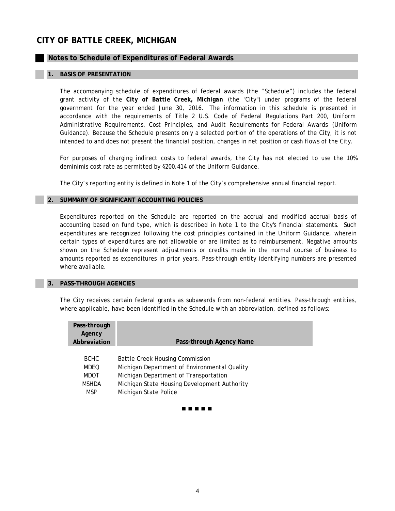#### **Notes to Schedule of Expenditures of Federal Awards**

#### **1. BASIS OF PRESENTATION**

The accompanying schedule of expenditures of federal awards (the "Schedule") includes the federal grant activity of the *City of Battle Creek, Michigan* (the "City") under programs of the federal government for the year ended June 30, 2016. The information in this schedule is presented in accordance with the requirements of Title 2 U.S. Code of Federal Regulations Part 200, *Uniform Administrative Requirements, Cost Principles, and Audit Requirements for Federal Awards* (Uniform Guidance). Because the Schedule presents only a selected portion of the operations of the City, it is not intended to and does not present the financial position, changes in net position or cash flows of the City.

For purposes of charging indirect costs to federal awards, the City has not elected to use the 10% deminimis cost rate as permitted by §200.414 of the Uniform Guidance.

The City's reporting entity is defined in Note 1 of the City's comprehensive annual financial report.

#### **2. SUMMARY OF SIGNIFICANT ACCOUNTING POLICIES**

Expenditures reported on the Schedule are reported on the accrual and modified accrual basis of accounting based on fund type, which is described in Note 1 to the City's financial statements. Such expenditures are recognized following the cost principles contained in the Uniform Guidance, wherein certain types of expenditures are not allowable or are limited as to reimbursement. Negative amounts shown on the Schedule represent adjustments or credits made in the normal course of business to amounts reported as expenditures in prior years. Pass-through entity identifying numbers are presented where available.

#### **3. PASS-THROUGH AGENCIES**

The City receives certain federal grants as subawards from non-federal entities. Pass-through entities, where applicable, have been identified in the Schedule with an abbreviation, defined as follows:

| Pass-through<br>Agency<br>Abbreviation | Pass-through Agency Name                     |
|----------------------------------------|----------------------------------------------|
| BCHC.                                  | <b>Battle Creek Housing Commission</b>       |
| <b>MDFO</b>                            | Michigan Department of Environmental Quality |
| <b>MDOT</b>                            | Michigan Department of Transportation        |
| <b>MSHDA</b>                           | Michigan State Housing Development Authority |
| <b>MSP</b>                             | Michigan State Police                        |

. . . . .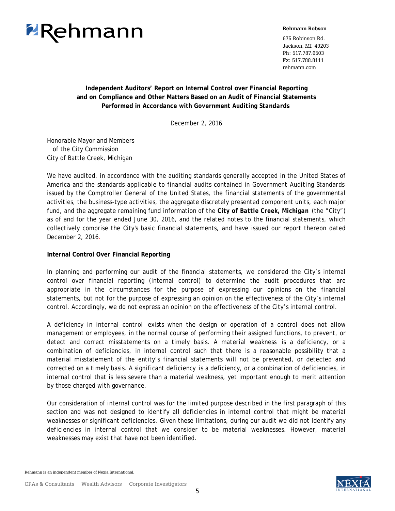

#### **Rehmann Robson**

675 Robinson Rd. Jackson, MI 49203 Ph: 517.787.6503 Fx: 517.788.8111 rehmann.com

#### **Independent Auditors' Report on Internal Control over Financial Reporting and on Compliance and Other Matters Based on an Audit of Financial Statements Performed in Accordance with** *Government Auditing Standards*

December 2, 2016

 Honorable Mayor and Members of the City Commission City of Battle Creek, Michigan

We have audited, in accordance with the auditing standards generally accepted in the United States of America and the standards applicable to financial audits contained in *Government Auditing Standards* issued by the Comptroller General of the United States, the financial statements of the governmental activities, the business-type activities, the aggregate discretely presented component units, each major fund, and the aggregate remaining fund information of the *City of Battle Creek, Michigan* (the "City") as of and for the year ended June 30, 2016, and the related notes to the financial statements, which collectively comprise the City's basic financial statements, and have issued our report thereon dated December 2, 2016.

#### **Internal Control Over Financial Reporting**

In planning and performing our audit of the financial statements, we considered the City's internal control over financial reporting (internal control) to determine the audit procedures that are appropriate in the circumstances for the purpose of expressing our opinions on the financial statements, but not for the purpose of expressing an opinion on the effectiveness of the City's internal control. Accordingly, we do not express an opinion on the effectiveness of the City's internal control.

A *deficiency in internal control* exists when the design or operation of a control does not allow management or employees, in the normal course of performing their assigned functions, to prevent, or detect and correct misstatements on a timely basis. A *material weakness* is a deficiency, or a combination of deficiencies, in internal control such that there is a reasonable possibility that a material misstatement of the entity's financial statements will not be prevented, or detected and corrected on a timely basis. A *significant deficiency* is a deficiency, or a combination of deficiencies, in internal control that is less severe than a material weakness, yet important enough to merit attention by those charged with governance.

Our consideration of internal control was for the limited purpose described in the first paragraph of this section and was not designed to identify all deficiencies in internal control that might be material weaknesses or significant deficiencies. Given these limitations, during our audit we did not identify any deficiencies in internal control that we consider to be material weaknesses. However, material weaknesses may exist that have not been identified.

Rehmann is an independent member of Nexia International.

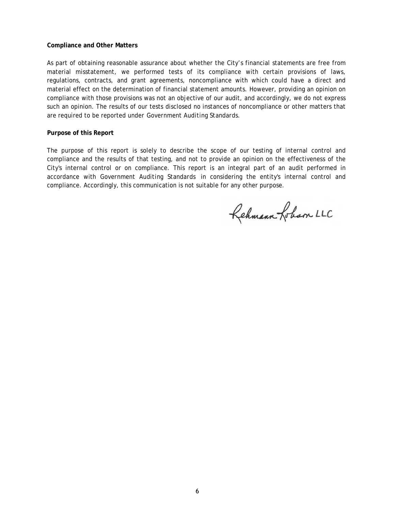#### **Compliance and Other Matters**

As part of obtaining reasonable assurance about whether the City's financial statements are free from material misstatement, we performed tests of its compliance with certain provisions of laws, regulations, contracts, and grant agreements, noncompliance with which could have a direct and material effect on the determination of financial statement amounts. However, providing an opinion on compliance with those provisions was not an objective of our audit, and accordingly, we do not express such an opinion. The results of our tests disclosed no instances of noncompliance or other matters that are required to be reported under *Government Auditing Standards.*

#### **Purpose of this Report**

The purpose of this report is solely to describe the scope of our testing of internal control and compliance and the results of that testing, and not to provide an opinion on the effectiveness of the City's internal control or on compliance. This report is an integral part of an audit performed in accordance with *Government Auditing Standards* in considering the entity's internal control and compliance. Accordingly, this communication is not suitable for any other purpose.

Rehmann Lobam LLC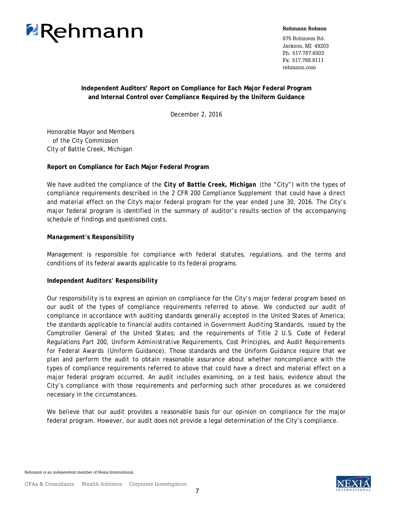

#### **Rehmann Robson**

675 Robinson Rd. Jackson, MI 49203 Ph: 517.787.6503 Fx: 517.788.8111 rehmann.com

#### **Independent Auditors' Report on Compliance for Each Major Federal Program and Internal Control over Compliance Required by the Uniform Guidance**

December 2, 2016

Honorable Mayor and Members of the City Commission City of Battle Creek, Michigan

#### **Report on Compliance for Each Major Federal Program**

We have audited the compliance of the *City of Battle Creek, Michigan* (the "City") with the types of compliance requirements described in the *2 CFR 200 Compliance Supplement* that could have a direct and material effect on the City's major federal program for the year ended June 30, 2016. The City's major federal program is identified in the summary of auditor's results section of the accompanying schedule of findings and questioned costs.

#### *Management's Responsibility*

Management is responsible for compliance with federal statutes, regulations, and the terms and conditions of its federal awards applicable to its federal programs.

#### *Independent Auditors' Responsibility*

Our responsibility is to express an opinion on compliance for the City's major federal program based on our audit of the types of compliance requirements referred to above. We conducted our audit of compliance in accordance with auditing standards generally accepted in the United States of America; the standards applicable to financial audits contained in *Government Auditing Standards,* issued by the Comptroller General of the United States; and the requirements of Title 2 U.S. Code of Federal Regulations Part 200, *Uniform Administrative Requirements, Cost Principles, and Audit Requirements for Federal Awards* (Uniform Guidance). Those standards and the Uniform Guidance require that we plan and perform the audit to obtain reasonable assurance about whether noncompliance with the types of compliance requirements referred to above that could have a direct and material effect on a major federal program occurred. An audit includes examining, on a test basis, evidence about the City's compliance with those requirements and performing such other procedures as we considered necessary in the circumstances.

We believe that our audit provides a reasonable basis for our opinion on compliance for the major federal program. However, our audit does not provide a legal determination of the City's compliance.

Rehmann is an independent member of Nexia International.

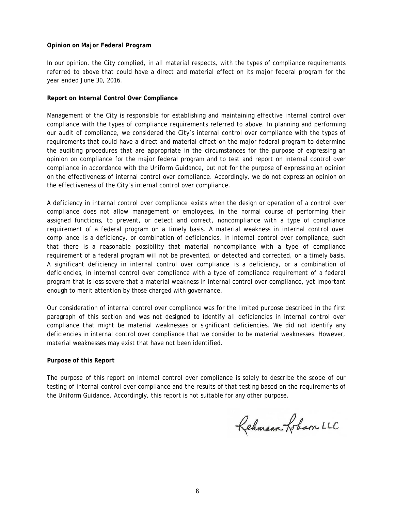#### *Opinion on Major Federal Program*

In our opinion, the City complied, in all material respects, with the types of compliance requirements referred to above that could have a direct and material effect on its major federal program for the year ended June 30, 2016.

#### **Report on Internal Control Over Compliance**

Management of the City is responsible for establishing and maintaining effective internal control over compliance with the types of compliance requirements referred to above. In planning and performing our audit of compliance, we considered the City's internal control over compliance with the types of requirements that could have a direct and material effect on the major federal program to determine the auditing procedures that are appropriate in the circumstances for the purpose of expressing an opinion on compliance for the major federal program and to test and report on internal control over compliance in accordance with the Uniform Guidance, but not for the purpose of expressing an opinion on the effectiveness of internal control over compliance. Accordingly, we do not express an opinion on the effectiveness of the City's internal control over compliance.

A *deficiency in internal control over compliance* exists when the design or operation of a control over compliance does not allow management or employees, in the normal course of performing their assigned functions, to prevent, or detect and correct, noncompliance with a type of compliance requirement of a federal program on a timely basis. A *material weakness in internal control over compliance* is a deficiency, or combination of deficiencies, in internal control over compliance, such that there is a reasonable possibility that material noncompliance with a type of compliance requirement of a federal program will not be prevented, or detected and corrected, on a timely basis. A *significant deficiency in internal control over compliance* is a deficiency, or a combination of deficiencies, in internal control over compliance with a type of compliance requirement of a federal program that is less severe that a material weakness in internal control over compliance, yet important enough to merit attention by those charged with governance.

Our consideration of internal control over compliance was for the limited purpose described in the first paragraph of this section and was not designed to identify all deficiencies in internal control over compliance that might be material weaknesses or significant deficiencies. We did not identify any deficiencies in internal control over compliance that we consider to be material weaknesses. However, material weaknesses may exist that have not been identified.

#### *Purpose of this Report*

The purpose of this report on internal control over compliance is solely to describe the scope of our testing of internal control over compliance and the results of that testing based on the requirements of the Uniform Guidance. Accordingly, this report is not suitable for any other purpose.

Rehmann Lobson LLC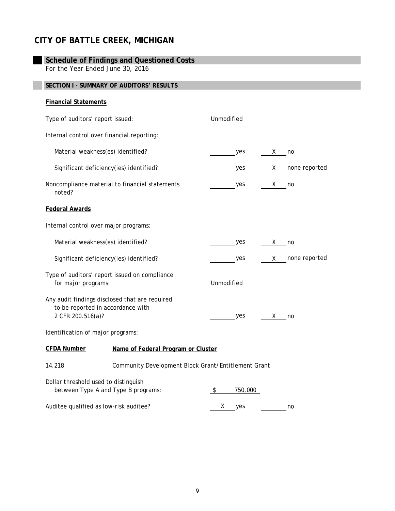For the Year Ended June 30, 2016

**Schedule of Findings and Questioned Costs**

|                                                                                                          | SECTION I - SUMMARY OF AUDITORS' RESULTS            |               |     |               |  |  |
|----------------------------------------------------------------------------------------------------------|-----------------------------------------------------|---------------|-----|---------------|--|--|
| <b>Financial Statements</b>                                                                              |                                                     |               |     |               |  |  |
| Type of auditors' report issued:                                                                         |                                                     | Unmodified    |     |               |  |  |
| Internal control over financial reporting:                                                               |                                                     |               |     |               |  |  |
| Material weakness(es) identified?                                                                        |                                                     | yes           | X   | no            |  |  |
| Significant deficiency(ies) identified?                                                                  |                                                     | yes           | X   | none reported |  |  |
| noted?                                                                                                   | Noncompliance material to financial statements      | yes           | X   | no            |  |  |
| <b>Federal Awards</b>                                                                                    |                                                     |               |     |               |  |  |
| Internal control over major programs:                                                                    |                                                     |               |     |               |  |  |
| Material weakness(es) identified?                                                                        |                                                     | yes           | X.  | no            |  |  |
| Significant deficiency(ies) identified?                                                                  |                                                     | yes           | X   | none reported |  |  |
| Type of auditors' report issued on compliance<br>for major programs:                                     |                                                     | Unmodified    |     |               |  |  |
| Any audit findings disclosed that are required<br>to be reported in accordance with<br>2 CFR 200.516(a)? |                                                     | yes           | X — | no            |  |  |
| Identification of major programs:                                                                        |                                                     |               |     |               |  |  |
| <b>CFDA Number</b>                                                                                       | Name of Federal Program or Cluster                  |               |     |               |  |  |
| 14.218                                                                                                   | Community Development Block Grant/Entitlement Grant |               |     |               |  |  |
| Dollar threshold used to distinguish                                                                     | between Type A and Type B programs:                 | \$<br>750,000 |     |               |  |  |
| Auditee qualified as low-risk auditee?                                                                   |                                                     | X yes         |     | no            |  |  |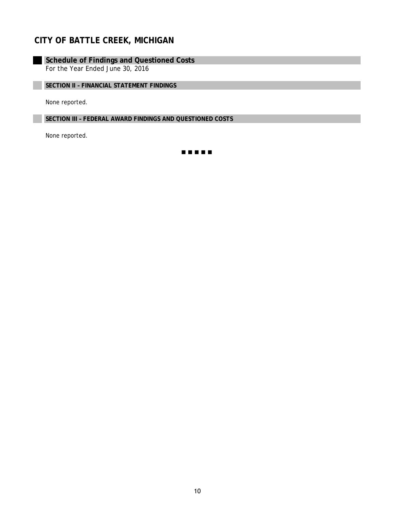#### **Schedule of Findings and Questioned Costs**

For the Year Ended June 30, 2016

#### **SECTION II – FINANCIAL STATEMENT FINDINGS**

None reported.

#### **SECTION III – FEDERAL AWARD FINDINGS AND QUESTIONED COSTS**

None reported.

.....